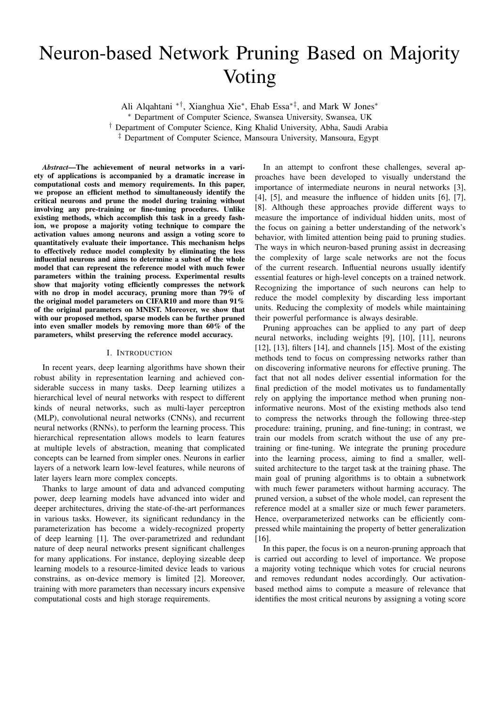# Neuron-based Network Pruning Based on Majority Voting

Ali Alqahtani ∗†, Xianghua Xie<sup>∗</sup> , Ehab Essa∗‡, and Mark W Jones<sup>∗</sup>

<sup>∗</sup> Department of Computer Science, Swansea University, Swansea, UK

† Department of Computer Science, King Khalid University, Abha, Saudi Arabia

‡ Department of Computer Science, Mansoura University, Mansoura, Egypt

*Abstract*—The achievement of neural networks in a variety of applications is accompanied by a dramatic increase in computational costs and memory requirements. In this paper, we propose an efficient method to simultaneously identify the critical neurons and prune the model during training without involving any pre-training or fine-tuning procedures. Unlike existing methods, which accomplish this task in a greedy fashion, we propose a majority voting technique to compare the activation values among neurons and assign a voting score to quantitatively evaluate their importance. This mechanism helps to effectively reduce model complexity by eliminating the less influential neurons and aims to determine a subset of the whole model that can represent the reference model with much fewer parameters within the training process. Experimental results show that majority voting efficiently compresses the network with no drop in model accuracy, pruning more than 79% of the original model parameters on CIFAR10 and more than 91% of the original parameters on MNIST. Moreover, we show that with our proposed method, sparse models can be further pruned into even smaller models by removing more than 60% of the parameters, whilst preserving the reference model accuracy.

## I. INTRODUCTION

In recent years, deep learning algorithms have shown their robust ability in representation learning and achieved considerable success in many tasks. Deep learning utilizes a hierarchical level of neural networks with respect to different kinds of neural networks, such as multi-layer perceptron (MLP), convolutional neural networks (CNNs), and recurrent neural networks (RNNs), to perform the learning process. This hierarchical representation allows models to learn features at multiple levels of abstraction, meaning that complicated concepts can be learned from simpler ones. Neurons in earlier layers of a network learn low-level features, while neurons of later layers learn more complex concepts.

Thanks to large amount of data and advanced computing power, deep learning models have advanced into wider and deeper architectures, driving the state-of-the-art performances in various tasks. However, its significant redundancy in the parameterization has become a widely-recognized property of deep learning [1]. The over-parametrized and redundant nature of deep neural networks present significant challenges for many applications. For instance, deploying sizeable deep learning models to a resource-limited device leads to various constrains, as on-device memory is limited [2]. Moreover, training with more parameters than necessary incurs expensive computational costs and high storage requirements.

In an attempt to confront these challenges, several approaches have been developed to visually understand the importance of intermediate neurons in neural networks [3], [4], [5], and measure the influence of hidden units [6], [7], [8]. Although these approaches provide different ways to measure the importance of individual hidden units, most of the focus on gaining a better understanding of the network's behavior, with limited attention being paid to pruning studies. The ways in which neuron-based pruning assist in decreasing the complexity of large scale networks are not the focus of the current research. Influential neurons usually identify essential features or high-level concepts on a trained network. Recognizing the importance of such neurons can help to reduce the model complexity by discarding less important units. Reducing the complexity of models while maintaining their powerful performance is always desirable.

Pruning approaches can be applied to any part of deep neural networks, including weights [9], [10], [11], neurons [12], [13], filters [14], and channels [15]. Most of the existing methods tend to focus on compressing networks rather than on discovering informative neurons for effective pruning. The fact that not all nodes deliver essential information for the final prediction of the model motivates us to fundamentally rely on applying the importance method when pruning noninformative neurons. Most of the existing methods also tend to compress the networks through the following three-step procedure: training, pruning, and fine-tuning; in contrast, we train our models from scratch without the use of any pretraining or fine-tuning. We integrate the pruning procedure into the learning process, aiming to find a smaller, wellsuited architecture to the target task at the training phase. The main goal of pruning algorithms is to obtain a subnetwork with much fewer parameters without harming accuracy. The pruned version, a subset of the whole model, can represent the reference model at a smaller size or much fewer parameters. Hence, overparameterized networks can be efficiently compressed while maintaining the property of better generalization [16].

In this paper, the focus is on a neuron-pruning approach that is carried out according to level of importance. We propose a majority voting technique which votes for crucial neurons and removes redundant nodes accordingly. Our activationbased method aims to compute a measure of relevance that identifies the most critical neurons by assigning a voting score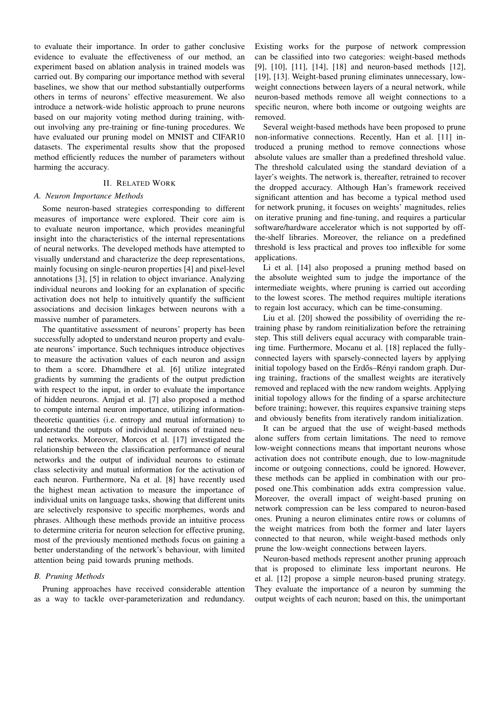to evaluate their importance. In order to gather conclusive evidence to evaluate the effectiveness of our method, an experiment based on ablation analysis in trained models was carried out. By comparing our importance method with several baselines, we show that our method substantially outperforms others in terms of neurons' effective measurement. We also introduce a network-wide holistic approach to prune neurons based on our majority voting method during training, without involving any pre-training or fine-tuning procedures. We have evaluated our pruning model on MNIST and CIFAR10 datasets. The experimental results show that the proposed method efficiently reduces the number of parameters without harming the accuracy.

#### II. RELATED WORK

#### *A. Neuron Importance Methods*

Some neuron-based strategies corresponding to different measures of importance were explored. Their core aim is to evaluate neuron importance, which provides meaningful insight into the characteristics of the internal representations of neural networks. The developed methods have attempted to visually understand and characterize the deep representations, mainly focusing on single-neuron properties [4] and pixel-level annotations [3], [5] in relation to object invariance. Analyzing individual neurons and looking for an explanation of specific activation does not help to intuitively quantify the sufficient associations and decision linkages between neurons with a massive number of parameters.

The quantitative assessment of neurons' property has been successfully adopted to understand neuron property and evaluate neurons' importance. Such techniques introduce objectives to measure the activation values of each neuron and assign to them a score. Dhamdhere et al. [6] utilize integrated gradients by summing the gradients of the output prediction with respect to the input, in order to evaluate the importance of hidden neurons. Amjad et al. [7] also proposed a method to compute internal neuron importance, utilizing informationtheoretic quantities (i.e. entropy and mutual information) to understand the outputs of individual neurons of trained neural networks. Moreover, Morcos et al. [17] investigated the relationship between the classification performance of neural networks and the output of individual neurons to estimate class selectivity and mutual information for the activation of each neuron. Furthermore, Na et al. [8] have recently used the highest mean activation to measure the importance of individual units on language tasks, showing that different units are selectively responsive to specific morphemes, words and phrases. Although these methods provide an intuitive process to determine criteria for neuron selection for effective pruning, most of the previously mentioned methods focus on gaining a better understanding of the network's behaviour, with limited attention being paid towards pruning methods.

# *B. Pruning Methods*

Pruning approaches have received considerable attention as a way to tackle over-parameterization and redundancy.

Existing works for the purpose of network compression can be classified into two categories: weight-based methods [9], [10], [11], [14], [18] and neuron-based methods [12], [19], [13]. Weight-based pruning eliminates unnecessary, lowweight connections between layers of a neural network, while neuron-based methods remove all weight connections to a specific neuron, where both income or outgoing weights are removed.

Several weight-based methods have been proposed to prune non-informative connections. Recently, Han et al. [11] introduced a pruning method to remove connections whose absolute values are smaller than a predefined threshold value. The threshold calculated using the standard deviation of a layer's weights. The network is, thereafter, retrained to recover the dropped accuracy. Although Han's framework received significant attention and has become a typical method used for network pruning, it focuses on weights' magnitudes, relies on iterative pruning and fine-tuning, and requires a particular software/hardware accelerator which is not supported by offthe-shelf libraries. Moreover, the reliance on a predefined threshold is less practical and proves too inflexible for some applications.

Li et al. [14] also proposed a pruning method based on the absolute weighted sum to judge the importance of the intermediate weights, where pruning is carried out according to the lowest scores. The method requires multiple iterations to regain lost accuracy, which can be time-consuming.

Liu et al. [20] showed the possibility of overriding the retraining phase by random reinitialization before the retraining step. This still delivers equal accuracy with comparable training time. Furthermore, Mocanu et al. [18] replaced the fullyconnected layers with sparsely-connected layers by applying initial topology based on the Erdős–Rényi random graph. During training, fractions of the smallest weights are iteratively removed and replaced with the new random weights. Applying initial topology allows for the finding of a sparse architecture before training; however, this requires expansive training steps and obviously benefits from iteratively random initialization.

It can be argued that the use of weight-based methods alone suffers from certain limitations. The need to remove low-weight connections means that important neurons whose activation does not contribute enough, due to low-magnitude income or outgoing connections, could be ignored. However, these methods can be applied in combination with our proposed one.This combination adds extra compression value. Moreover, the overall impact of weight-based pruning on network compression can be less compared to neuron-based ones. Pruning a neuron eliminates entire rows or columns of the weight matrices from both the former and later layers connected to that neuron, while weight-based methods only prune the low-weight connections between layers.

Neuron-based methods represent another pruning approach that is proposed to eliminate less important neurons. He et al. [12] propose a simple neuron-based pruning strategy. They evaluate the importance of a neuron by summing the output weights of each neuron; based on this, the unimportant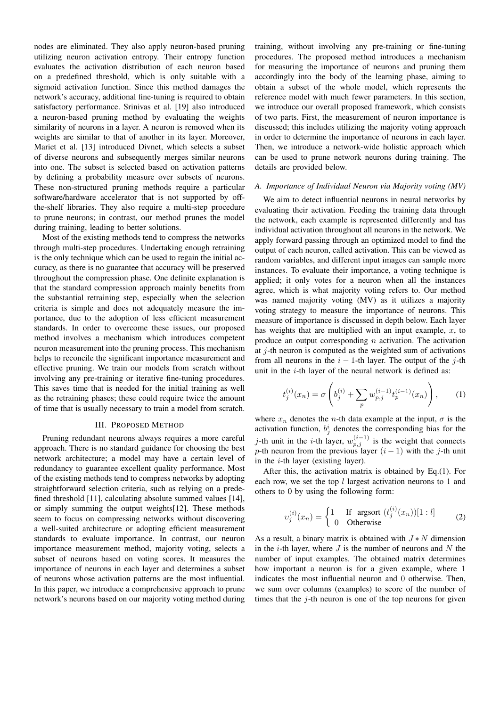nodes are eliminated. They also apply neuron-based pruning utilizing neuron activation entropy. Their entropy function evaluates the activation distribution of each neuron based on a predefined threshold, which is only suitable with a sigmoid activation function. Since this method damages the network's accuracy, additional fine-tuning is required to obtain satisfactory performance. Srinivas et al. [19] also introduced a neuron-based pruning method by evaluating the weights similarity of neurons in a layer. A neuron is removed when its weights are similar to that of another in its layer. Moreover, Mariet et al. [13] introduced Divnet, which selects a subset of diverse neurons and subsequently merges similar neurons into one. The subset is selected based on activation patterns by defining a probability measure over subsets of neurons. These non-structured pruning methods require a particular software/hardware accelerator that is not supported by offthe-shelf libraries. They also require a multi-step procedure to prune neurons; in contrast, our method prunes the model during training, leading to better solutions.

Most of the existing methods tend to compress the networks through multi-step procedures. Undertaking enough retraining is the only technique which can be used to regain the initial accuracy, as there is no guarantee that accuracy will be preserved throughout the compression phase. One definite explanation is that the standard compression approach mainly benefits from the substantial retraining step, especially when the selection criteria is simple and does not adequately measure the importance, due to the adoption of less efficient measurement standards. In order to overcome these issues, our proposed method involves a mechanism which introduces competent neuron measurement into the pruning process. This mechanism helps to reconcile the significant importance measurement and effective pruning. We train our models from scratch without involving any pre-training or iterative fine-tuning procedures. This saves time that is needed for the initial training as well as the retraining phases; these could require twice the amount of time that is usually necessary to train a model from scratch.

#### III. PROPOSED METHOD

Pruning redundant neurons always requires a more careful approach. There is no standard guidance for choosing the best network architecture; a model may have a certain level of redundancy to guarantee excellent quality performance. Most of the existing methods tend to compress networks by adopting straightforward selection criteria, such as relying on a predefined threshold [11], calculating absolute summed values [14], or simply summing the output weights[12]. These methods seem to focus on compressing networks without discovering a well-suited architecture or adopting efficient measurement standards to evaluate importance. In contrast, our neuron importance measurement method, majority voting, selects a subset of neurons based on voting scores. It measures the importance of neurons in each layer and determines a subset of neurons whose activation patterns are the most influential. In this paper, we introduce a comprehensive approach to prune network's neurons based on our majority voting method during

training, without involving any pre-training or fine-tuning procedures. The proposed method introduces a mechanism for measuring the importance of neurons and pruning them accordingly into the body of the learning phase, aiming to obtain a subset of the whole model, which represents the reference model with much fewer parameters. In this section, we introduce our overall proposed framework, which consists of two parts. First, the measurement of neuron importance is discussed; this includes utilizing the majority voting approach in order to determine the importance of neurons in each layer. Then, we introduce a network-wide holistic approach which can be used to prune network neurons during training. The details are provided below.

#### *A. Importance of Individual Neuron via Majority voting (MV)*

We aim to detect influential neurons in neural networks by evaluating their activation. Feeding the training data through the network, each example is represented differently and has individual activation throughout all neurons in the network. We apply forward passing through an optimized model to find the output of each neuron, called activation. This can be viewed as random variables, and different input images can sample more instances. To evaluate their importance, a voting technique is applied; it only votes for a neuron when all the instances agree, which is what majority voting refers to. Our method was named majority voting (MV) as it utilizes a majority voting strategy to measure the importance of neurons. This measure of importance is discussed in depth below. Each layer has weights that are multiplied with an input example,  $x$ , to produce an output corresponding  $n$  activation. The activation at  $j$ -th neuron is computed as the weighted sum of activations from all neurons in the  $i - 1$ -th layer. The output of the j-th unit in the  $i$ -th layer of the neural network is defined as:

$$
t_j^{(i)}(x_n) = \sigma \left( b_j^{(i)} + \sum_p w_{p,j}^{(i-1)} t_p^{(i-1)}(x_n) \right), \quad (1)
$$

where  $x_n$  denotes the *n*-th data example at the input,  $\sigma$  is the activation function,  $b_j^i$  denotes the corresponding bias for the j-th unit in the *i*-th layer,  $w_{p,j}^{(i-1)}$  is the weight that connects p-th neuron from the previous layer  $(i - 1)$  with the j-th unit in the i-th layer (existing layer).

After this, the activation matrix is obtained by Eq.(1). For each row, we set the top  $l$  largest activation neurons to 1 and others to 0 by using the following form:

$$
v_j^{(i)}(x_n) = \begin{cases} 1 & \text{If } \text{argsort } (t_j^{(i)}(x_n))[1:l] \\ 0 & \text{Otherwise} \end{cases}
$$
 (2)

As a result, a binary matrix is obtained with  $J*N$  dimension in the *i*-th layer, where  $J$  is the number of neurons and  $N$  the number of input examples. The obtained matrix determines how important a neuron is for a given example, where 1 indicates the most influential neuron and 0 otherwise. Then, we sum over columns (examples) to score of the number of times that the  $j$ -th neuron is one of the top neurons for given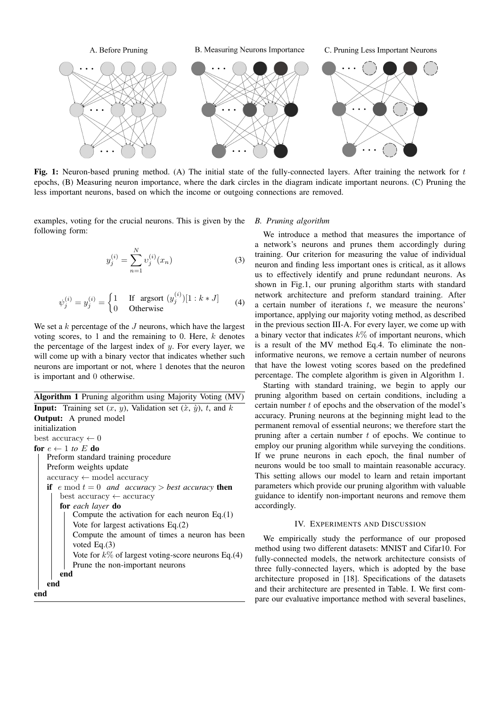

Fig. 1: Neuron-based pruning method. (A) The initial state of the fully-connected layers. After training the network for  $t$ epochs, (B) Measuring neuron importance, where the dark circles in the diagram indicate important neurons. (C) Pruning the less important neurons, based on which the income or outgoing connections are removed.

examples, voting for the crucial neurons. This is given by the following form:

$$
y_j^{(i)} = \sum_{n=1}^{N} v_j^{(i)}(x_n)
$$
 (3)

$$
\psi_j^{(i)} = y_j^{(i)} = \begin{cases} 1 & \text{If } \text{argsort } (y_j^{(i)})[1:k*J] \\ 0 & \text{Otherwise} \end{cases}
$$
 (4)

We set a  $k$  percentage of the  $J$  neurons, which have the largest voting scores, to 1 and the remaining to 0. Here,  $k$  denotes the percentage of the largest index of  $y$ . For every layer, we will come up with a binary vector that indicates whether such neurons are important or not, where 1 denotes that the neuron is important and 0 otherwise.

Algorithm 1 Pruning algorithm using Majority Voting (MV) **Input:** Training set  $(x, y)$ , Validation set  $(\dot{x}, \dot{y})$ , t, and k Output: A pruned model initialization best accuracy  $\leftarrow 0$ for  $e \leftarrow 1$  to E do Preform standard training procedure Preform weights update accuracy ← model accuracy if  $e \mod t = 0$  *and accuracy* > *best accuracy* then best accuracy ← accuracy for *each layer* do Compute the activation for each neuron Eq.(1) Vote for largest activations Eq.(2) Compute the amount of times a neuron has been voted Eq.(3) Vote for  $k\%$  of largest voting-score neurons Eq.(4) Prune the non-important neurons end end end

#### *B. Pruning algorithm*

We introduce a method that measures the importance of a network's neurons and prunes them accordingly during training. Our criterion for measuring the value of individual neuron and finding less important ones is critical, as it allows us to effectively identify and prune redundant neurons. As shown in Fig.1, our pruning algorithm starts with standard network architecture and preform standard training. After a certain number of iterations  $t$ , we measure the neurons' importance, applying our majority voting method, as described in the previous section III-A. For every layer, we come up with a binary vector that indicates  $k\%$  of important neurons, which is a result of the MV method Eq.4. To eliminate the noninformative neurons, we remove a certain number of neurons that have the lowest voting scores based on the predefined percentage. The complete algorithm is given in Algorithm 1.

Starting with standard training, we begin to apply our pruning algorithm based on certain conditions, including a certain number  $t$  of epochs and the observation of the model's accuracy. Pruning neurons at the beginning might lead to the permanent removal of essential neurons; we therefore start the pruning after a certain number  $t$  of epochs. We continue to employ our pruning algorithm while surveying the conditions. If we prune neurons in each epoch, the final number of neurons would be too small to maintain reasonable accuracy. This setting allows our model to learn and retain important parameters which provide our pruning algorithm with valuable guidance to identify non-important neurons and remove them accordingly.

## IV. EXPERIMENTS AND DISCUSSION

We empirically study the performance of our proposed method using two different datasets: MNIST and Cifar10. For fully-connected models, the network architecture consists of three fully-connected layers, which is adopted by the base architecture proposed in [18]. Specifications of the datasets and their architecture are presented in Table. I. We first compare our evaluative importance method with several baselines,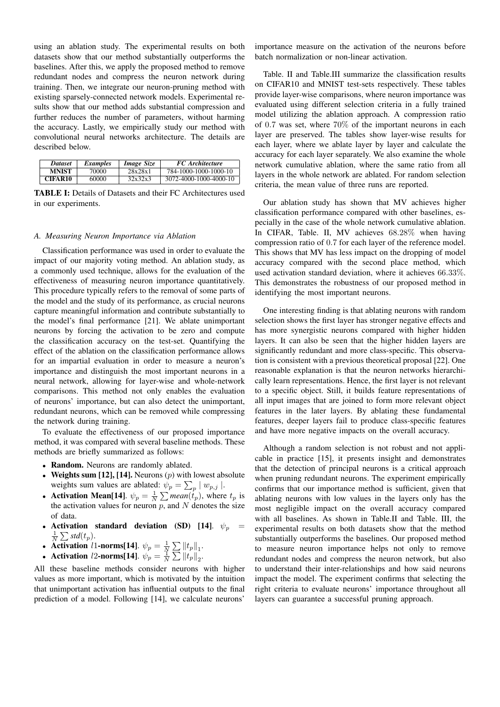using an ablation study. The experimental results on both datasets show that our method substantially outperforms the baselines. After this, we apply the proposed method to remove redundant nodes and compress the neuron network during training. Then, we integrate our neuron-pruning method with existing sparsely-connected network models. Experimental results show that our method adds substantial compression and further reduces the number of parameters, without harming the accuracy. Lastly, we empirically study our method with convolutional neural networks architecture. The details are described below.

| <b>Dataset</b> | <i>Examples</i> | Image Size | <b>FC</b> Architecture |
|----------------|-----------------|------------|------------------------|
| <b>MNIST</b>   | 70000           | 28x28x1    | 784-1000-1000-1000-10  |
| <b>CIFAR10</b> | 60000           | 32x32x3    | 3072-4000-1000-4000-10 |

TABLE I: Details of Datasets and their FC Architectures used in our experiments.

# *A. Measuring Neuron Importance via Ablation*

Classification performance was used in order to evaluate the impact of our majority voting method. An ablation study, as a commonly used technique, allows for the evaluation of the effectiveness of measuring neuron importance quantitatively. This procedure typically refers to the removal of some parts of the model and the study of its performance, as crucial neurons capture meaningful information and contribute substantially to the model's final performance [21]. We ablate unimportant neurons by forcing the activation to be zero and compute the classification accuracy on the test-set. Quantifying the effect of the ablation on the classification performance allows for an impartial evaluation in order to measure a neuron's importance and distinguish the most important neurons in a neural network, allowing for layer-wise and whole-network comparisons. This method not only enables the evaluation of neurons' importance, but can also detect the unimportant, redundant neurons, which can be removed while compressing the network during training.

To evaluate the effectiveness of our proposed importance method, it was compared with several baseline methods. These methods are briefly summarized as follows:

- Random. Neurons are randomly ablated.
- Weights sum [12], [14]. Neurons  $(p)$  with lowest absolute weights sum values are ablated:  $\psi_p = \sum_p |w_{p,j}|$ .
- Activation Mean[14].  $\psi_p = \frac{1}{N} \sum \text{mean}(\hat{t}_p)$ , where  $t_p$  is the activation values for neuron  $p$ , and  $N$  denotes the size of data.
- Activation standard deviation (SD) [14].  $\psi_p =$  $\frac{1}{N}\sum$  std $(t_p)$ .
- Activation *l* 1-norms[14].  $\psi_p = \frac{1}{N} \sum ||t_p||_1$ .
- Activation *l*2-norms[14].  $\psi_p = \frac{1}{N} \sum ||t_p||_2$ .

All these baseline methods consider neurons with higher values as more important, which is motivated by the intuition that unimportant activation has influential outputs to the final prediction of a model. Following [14], we calculate neurons'

importance measure on the activation of the neurons before batch normalization or non-linear activation.

Table. II and Table.III summarize the classification results on CIFAR10 and MNIST test-sets respectively. These tables provide layer-wise comparisons, where neuron importance was evaluated using different selection criteria in a fully trained model utilizing the ablation approach. A compression ratio of 0.7 was set, where 70% of the important neurons in each layer are preserved. The tables show layer-wise results for each layer, where we ablate layer by layer and calculate the accuracy for each layer separately. We also examine the whole network cumulative ablation, where the same ratio from all layers in the whole network are ablated. For random selection criteria, the mean value of three runs are reported.

Our ablation study has shown that MV achieves higher classification performance compared with other baselines, especially in the case of the whole network cumulative ablation. In CIFAR, Table. II, MV achieves 68.28% when having compression ratio of 0.7 for each layer of the reference model. This shows that MV has less impact on the dropping of model accuracy compared with the second place method, which used activation standard deviation, where it achieves 66.33%. This demonstrates the robustness of our proposed method in identifying the most important neurons.

One interesting finding is that ablating neurons with random selection shows the first layer has stronger negative effects and has more synergistic neurons compared with higher hidden layers. It can also be seen that the higher hidden layers are significantly redundant and more class-specific. This observation is consistent with a previous theoretical proposal [22]. One reasonable explanation is that the neuron networks hierarchically learn representations. Hence, the first layer is not relevant to a specific object. Still, it builds feature representations of all input images that are joined to form more relevant object features in the later layers. By ablating these fundamental features, deeper layers fail to produce class-specific features and have more negative impacts on the overall accuracy.

Although a random selection is not robust and not applicable in practice [15], it presents insight and demonstrates that the detection of principal neurons is a critical approach when pruning redundant neurons. The experiment empirically confirms that our importance method is sufficient, given that ablating neurons with low values in the layers only has the most negligible impact on the overall accuracy compared with all baselines. As shown in Table.II and Table. III, the experimental results on both datasets show that the method substantially outperforms the baselines. Our proposed method to measure neuron importance helps not only to remove redundant nodes and compress the neuron network, but also to understand their inter-relationships and how said neurons impact the model. The experiment confirms that selecting the right criteria to evaluate neurons' importance throughout all layers can guarantee a successful pruning approach.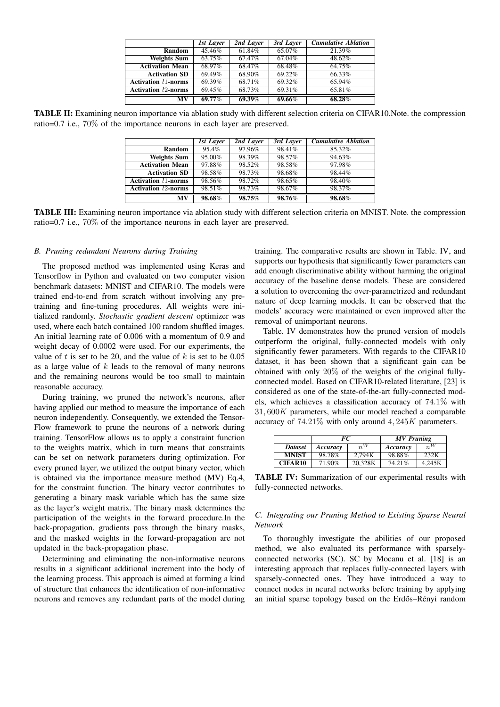|                            | <b>1st Layer</b> | 2nd Layer | $3rd$ Layer | <b>Cumulative Ablation</b> |
|----------------------------|------------------|-----------|-------------|----------------------------|
| Random                     | 45.46%           | 61.84%    | 65.07%      | 21.39%                     |
| <b>Weights Sum</b>         | 63.75%           | 67.47%    | 67.04%      | 48.62%                     |
| <b>Activation Mean</b>     | 68.97%           | 68.47%    | 68.48%      | 64.75%                     |
| <b>Activation SD</b>       | 69.49%           | 68.90%    | 69.22%      | 66.33%                     |
| <b>Activation 11-norms</b> | 69.39%           | 68.71%    | 69.32%      | 65.94%                     |
| <b>Activation 12-norms</b> | 69.45%           | 68.73%    | 69.31%      | 65.81%                     |
| MV                         | 69.77%           | 69.39%    | 69.66%      | 68.28%                     |

TABLE II: Examining neuron importance via ablation study with different selection criteria on CIFAR10.Note. the compression ratio=0.7 i.e., 70% of the importance neurons in each layer are preserved.

|                            | <b>1st Layer</b> | 2nd Laver | 3rd Laver | <b>Cumulative Ablation</b> |
|----------------------------|------------------|-----------|-----------|----------------------------|
| Random                     | 95.4%            | 97.96%    | 98.41%    | 85.32%                     |
| <b>Weights Sum</b>         | 95.00%           | 98.39%    | 98.57%    | 94.63%                     |
| <b>Activation Mean</b>     | 97.88%           | 98.52%    | 98.58%    | 97.98%                     |
| <b>Activation SD</b>       | 98.58%           | 98.73%    | 98.68%    | 98.44%                     |
| <b>Activation 11-norms</b> | 98.56%           | 98.72%    | 98.65%    | 98.40%                     |
| <b>Activation 12-norms</b> | 98.51%           | 98.73%    | 98.67%    | 98.37%                     |
| MV                         | 98.68%           | 98.75%    | 98.76%    | 98.68%                     |

TABLE III: Examining neuron importance via ablation study with different selection criteria on MNIST. Note. the compression ratio=0.7 i.e., 70% of the importance neurons in each layer are preserved.

# *B. Pruning redundant Neurons during Training*

The proposed method was implemented using Keras and Tensorflow in Python and evaluated on two computer vision benchmark datasets: MNIST and CIFAR10. The models were trained end-to-end from scratch without involving any pretraining and fine-tuning procedures. All weights were initialized randomly. *Stochastic gradient descent* optimizer was used, where each batch contained 100 random shuffled images. An initial learning rate of 0.006 with a momentum of 0.9 and weight decay of 0.0002 were used. For our experiments, the value of  $t$  is set to be 20, and the value of  $k$  is set to be 0.05 as a large value of  $k$  leads to the removal of many neurons and the remaining neurons would be too small to maintain reasonable accuracy.

During training, we pruned the network's neurons, after having applied our method to measure the importance of each neuron independently. Consequently, we extended the Tensor-Flow framework to prune the neurons of a network during training. TensorFlow allows us to apply a constraint function to the weights matrix, which in turn means that constraints can be set on network parameters during optimization. For every pruned layer, we utilized the output binary vector, which is obtained via the importance measure method (MV) Eq.4, for the constraint function. The binary vector contributes to generating a binary mask variable which has the same size as the layer's weight matrix. The binary mask determines the participation of the weights in the forward procedure.In the back-propagation, gradients pass through the binary masks, and the masked weights in the forward-propagation are not updated in the back-propagation phase.

Determining and eliminating the non-informative neurons results in a significant additional increment into the body of the learning process. This approach is aimed at forming a kind of structure that enhances the identification of non-informative neurons and removes any redundant parts of the model during

training. The comparative results are shown in Table. IV, and supports our hypothesis that significantly fewer parameters can add enough discriminative ability without harming the original accuracy of the baseline dense models. These are considered a solution to overcoming the over-parametrized and redundant nature of deep learning models. It can be observed that the models' accuracy were maintained or even improved after the removal of unimportant neurons.

Table. IV demonstrates how the pruned version of models outperform the original, fully-connected models with only significantly fewer parameters. With regards to the CIFAR10 dataset, it has been shown that a significant gain can be obtained with only 20% of the weights of the original fullyconnected model. Based on CIFAR10-related literature, [23] is considered as one of the state-of-the-art fully-connected models, which achieves a classification accuracy of 74.1% with  $31,600K$  parameters, while our model reached a comparable accuracy of  $74.21\%$  with only around  $4,245K$  parameters.

|                | FC.               |         | <b>MV</b> Pruning |        |
|----------------|-------------------|---------|-------------------|--------|
| <b>Dataset</b> | $n^W$<br>Accuracy |         | Accuracy          | $n^W$  |
| <b>MNIST</b>   | 98.78%            | 2.794K  | 98.88%            | 232K   |
| <b>CIFAR10</b> | 71.90%            | 20.328K | 74.21%            | 4.245K |

TABLE IV: Summarization of our experimental results with fully-connected networks.

# *C. Integrating our Pruning Method to Existing Sparse Neural Network*

To thoroughly investigate the abilities of our proposed method, we also evaluated its performance with sparselyconnected networks (SC). SC by Mocanu et al. [18] is an interesting approach that replaces fully-connected layers with sparsely-connected ones. They have introduced a way to connect nodes in neural networks before training by applying an initial sparse topology based on the Erdős–Rényi random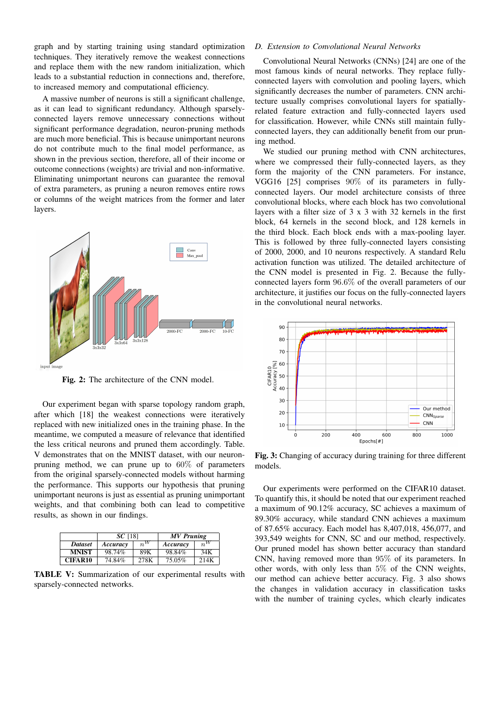graph and by starting training using standard optimization techniques. They iteratively remove the weakest connections and replace them with the new random initialization, which leads to a substantial reduction in connections and, therefore, to increased memory and computational efficiency.

A massive number of neurons is still a significant challenge, as it can lead to significant redundancy. Although sparselyconnected layers remove unnecessary connections without significant performance degradation, neuron-pruning methods are much more beneficial. This is because unimportant neurons do not contribute much to the final model performance, as shown in the previous section, therefore, all of their income or outcome connections (weights) are trivial and non-informative. Eliminating unimportant neurons can guarantee the removal of extra parameters, as pruning a neuron removes entire rows or columns of the weight matrices from the former and later layers.



Fig. 2: The architecture of the CNN model.

Our experiment began with sparse topology random graph, after which [18] the weakest connections were iteratively replaced with new initialized ones in the training phase. In the meantime, we computed a measure of relevance that identified the less critical neurons and pruned them accordingly. Table. V demonstrates that on the MNIST dataset, with our neuronpruning method, we can prune up to 60% of parameters from the original sparsely-connected models without harming the performance. This supports our hypothesis that pruning unimportant neurons is just as essential as pruning unimportant weights, and that combining both can lead to competitive results, as shown in our findings.

|                | $SC$ [18]         |      | <b>MV</b> Pruning |         |  |
|----------------|-------------------|------|-------------------|---------|--|
| <b>Dataset</b> | $n^W$<br>Accuracy |      | Accuracy          | $n^{W}$ |  |
| <b>MNIST</b>   | 98.74%            | 89K  | 98.84%            | 34K     |  |
| CIFAR10        | 74.84%            | 278K | 75.05%            | 214K    |  |

TABLE V: Summarization of our experimental results with sparsely-connected networks.

# *D. Extension to Convolutional Neural Networks*

Convolutional Neural Networks (CNNs) [24] are one of the most famous kinds of neural networks. They replace fullyconnected layers with convolution and pooling layers, which significantly decreases the number of parameters. CNN architecture usually comprises convolutional layers for spatiallyrelated feature extraction and fully-connected layers used for classification. However, while CNNs still maintain fullyconnected layers, they can additionally benefit from our pruning method.

We studied our pruning method with CNN architectures, where we compressed their fully-connected layers, as they form the majority of the CNN parameters. For instance, VGG16 [25] comprises 90% of its parameters in fullyconnected layers. Our model architecture consists of three convolutional blocks, where each block has two convolutional layers with a filter size of 3 x 3 with 32 kernels in the first block, 64 kernels in the second block, and 128 kernels in the third block. Each block ends with a max-pooling layer. This is followed by three fully-connected layers consisting of 2000, 2000, and 10 neurons respectively. A standard Relu activation function was utilized. The detailed architecture of the CNN model is presented in Fig. 2. Because the fullyconnected layers form 96.6% of the overall parameters of our architecture, it justifies our focus on the fully-connected layers in the convolutional neural networks.



Fig. 3: Changing of accuracy during training for three different models.

Our experiments were performed on the CIFAR10 dataset. To quantify this, it should be noted that our experiment reached a maximum of 90.12% accuracy, SC achieves a maximum of 89.30% accuracy, while standard CNN achieves a maximum of 87.65% accuracy. Each model has 8,407,018, 456,077, and 393,549 weights for CNN, SC and our method, respectively. Our pruned model has shown better accuracy than standard CNN, having removed more than 95% of its parameters. In other words, with only less than 5% of the CNN weights, our method can achieve better accuracy. Fig. 3 also shows the changes in validation accuracy in classification tasks with the number of training cycles, which clearly indicates